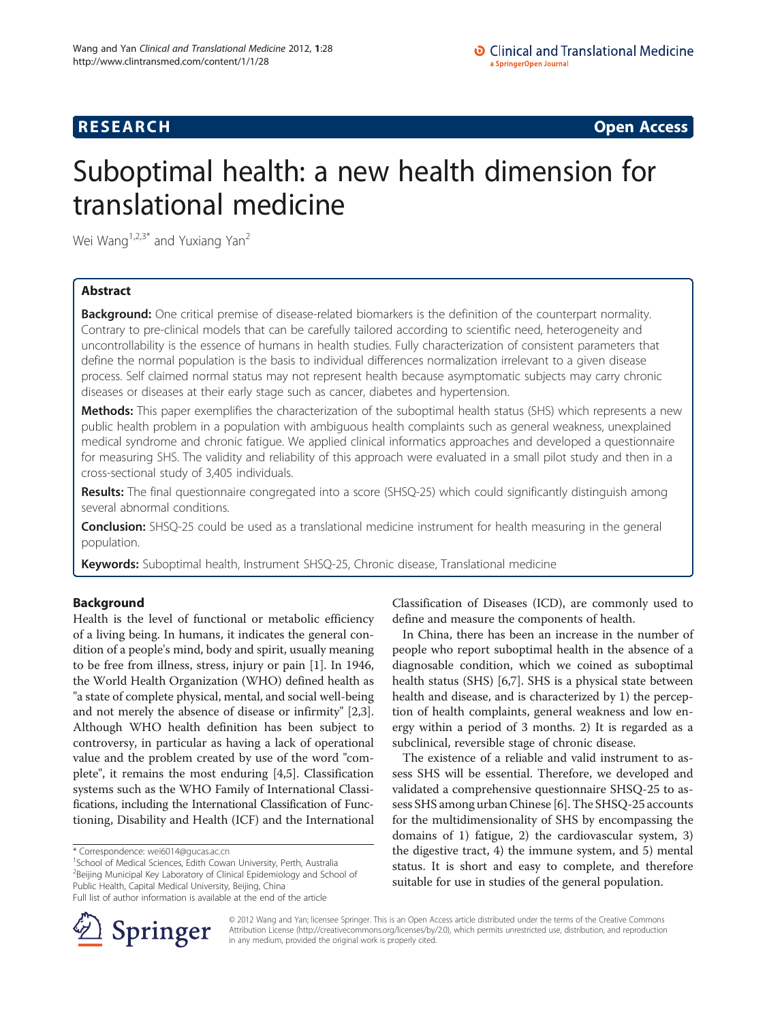## **RESEARCH RESEARCH CONSUMING ACCESS**

# Suboptimal health: a new health dimension for translational medicine

Wei Wang<sup>1,2,3\*</sup> and Yuxiang Yan<sup>2</sup>

## Abstract

Background: One critical premise of disease-related biomarkers is the definition of the counterpart normality. Contrary to pre-clinical models that can be carefully tailored according to scientific need, heterogeneity and uncontrollability is the essence of humans in health studies. Fully characterization of consistent parameters that define the normal population is the basis to individual differences normalization irrelevant to a given disease process. Self claimed normal status may not represent health because asymptomatic subjects may carry chronic diseases or diseases at their early stage such as cancer, diabetes and hypertension.

Methods: This paper exemplifies the characterization of the suboptimal health status (SHS) which represents a new public health problem in a population with ambiguous health complaints such as general weakness, unexplained medical syndrome and chronic fatigue. We applied clinical informatics approaches and developed a questionnaire for measuring SHS. The validity and reliability of this approach were evaluated in a small pilot study and then in a cross-sectional study of 3,405 individuals.

Results: The final questionnaire congregated into a score (SHSQ-25) which could significantly distinguish among several abnormal conditions.

Conclusion: SHSQ-25 could be used as a translational medicine instrument for health measuring in the general population.

Keywords: Suboptimal health, Instrument SHSQ-25, Chronic disease, Translational medicine

## Background

Health is the level of functional or metabolic efficiency of a living being. In humans, it indicates the general condition of a people's mind, body and spirit, usually meaning to be free from illness, stress, injury or pain [[1](#page-4-0)]. In 1946, the World Health Organization (WHO) defined health as "a state of complete physical, mental, and social well-being and not merely the absence of disease or infirmity" [\[2,3](#page-4-0)]. Although WHO health definition has been subject to controversy, in particular as having a lack of operational value and the problem created by use of the word "complete", it remains the most enduring [\[4,5](#page-4-0)]. Classification systems such as the WHO Family of International Classifications, including the International Classification of Functioning, Disability and Health (ICF) and the International

\* Correspondence: [wei6014@gucas.ac.cn](mailto:wei6014@gucas.ac.cn) <sup>1</sup>

<sup>1</sup>School of Medical Sciences, Edith Cowan University, Perth, Australia <sup>2</sup>Beijing Municipal Key Laboratory of Clinical Epidemiology and School of Public Health, Capital Medical University, Beijing, China Full list of author information is available at the end of the article

Classification of Diseases (ICD), are commonly used to define and measure the components of health.

In China, there has been an increase in the number of people who report suboptimal health in the absence of a diagnosable condition, which we coined as suboptimal health status (SHS) [[6,7\]](#page-4-0). SHS is a physical state between health and disease, and is characterized by 1) the perception of health complaints, general weakness and low energy within a period of 3 months. 2) It is regarded as a subclinical, reversible stage of chronic disease.

The existence of a reliable and valid instrument to assess SHS will be essential. Therefore, we developed and validated a comprehensive questionnaire SHSQ-25 to assess SHS among urban Chinese [[6\]](#page-4-0). The SHSQ-25 accounts for the multidimensionality of SHS by encompassing the domains of 1) fatigue, 2) the cardiovascular system, 3) the digestive tract, 4) the immune system, and 5) mental status. It is short and easy to complete, and therefore suitable for use in studies of the general population.



© 2012 Wang and Yan; licensee Springer. This is an Open Access article distributed under the terms of the Creative Commons Attribution License [\(http://creativecommons.org/licenses/by/2.0\)](http://creativecommons.org/licenses/by/2.0), which permits unrestricted use, distribution, and reproduction in any medium, provided the original work is properly cited.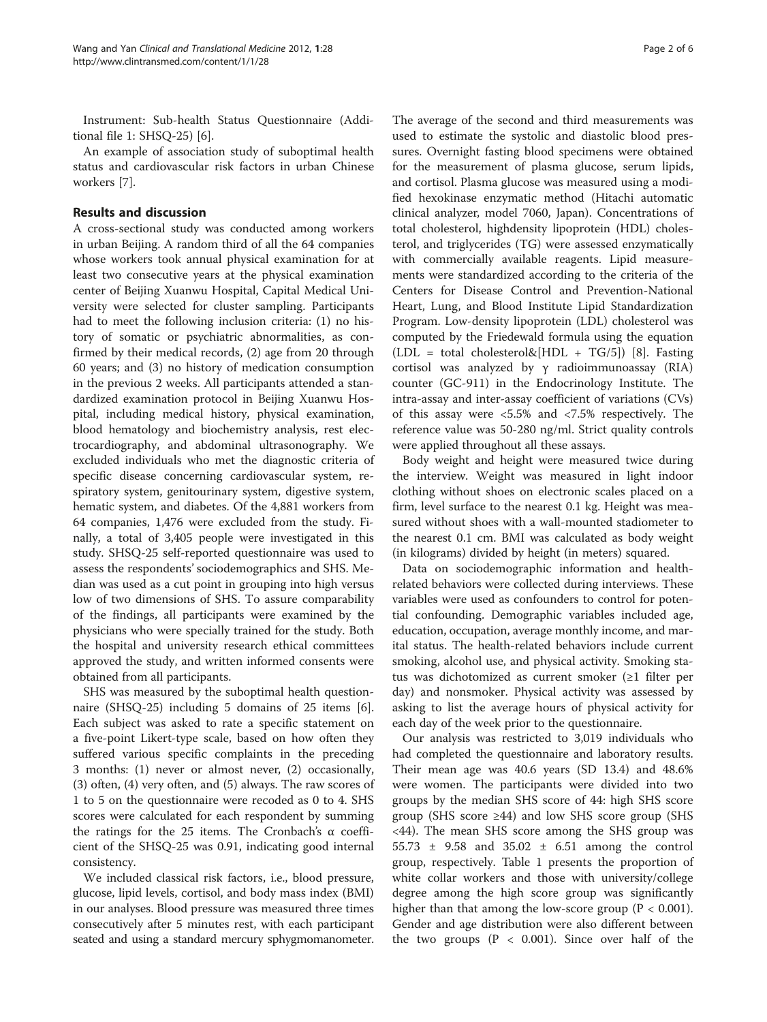Instrument: Sub-health Status Questionnaire (Additional file [1](#page-4-0): SHSQ-25) [\[6\]](#page-4-0).

An example of association study of suboptimal health status and cardiovascular risk factors in urban Chinese workers [\[7](#page-4-0)].

## Results and discussion

A cross-sectional study was conducted among workers in urban Beijing. A random third of all the 64 companies whose workers took annual physical examination for at least two consecutive years at the physical examination center of Beijing Xuanwu Hospital, Capital Medical University were selected for cluster sampling. Participants had to meet the following inclusion criteria: (1) no history of somatic or psychiatric abnormalities, as confirmed by their medical records, (2) age from 20 through 60 years; and (3) no history of medication consumption in the previous 2 weeks. All participants attended a standardized examination protocol in Beijing Xuanwu Hospital, including medical history, physical examination, blood hematology and biochemistry analysis, rest electrocardiography, and abdominal ultrasonography. We excluded individuals who met the diagnostic criteria of specific disease concerning cardiovascular system, respiratory system, genitourinary system, digestive system, hematic system, and diabetes. Of the 4,881 workers from 64 companies, 1,476 were excluded from the study. Finally, a total of 3,405 people were investigated in this study. SHSQ-25 self-reported questionnaire was used to assess the respondents' sociodemographics and SHS. Median was used as a cut point in grouping into high versus low of two dimensions of SHS. To assure comparability of the findings, all participants were examined by the physicians who were specially trained for the study. Both the hospital and university research ethical committees approved the study, and written informed consents were obtained from all participants.

SHS was measured by the suboptimal health questionnaire (SHSQ-25) including 5 domains of 25 items [\[6](#page-4-0)]. Each subject was asked to rate a specific statement on a five-point Likert-type scale, based on how often they suffered various specific complaints in the preceding 3 months: (1) never or almost never, (2) occasionally, (3) often, (4) very often, and (5) always. The raw scores of 1 to 5 on the questionnaire were recoded as 0 to 4. SHS scores were calculated for each respondent by summing the ratings for the 25 items. The Cronbach's α coefficient of the SHSQ-25 was 0.91, indicating good internal consistency.

We included classical risk factors, i.e., blood pressure, glucose, lipid levels, cortisol, and body mass index (BMI) in our analyses. Blood pressure was measured three times consecutively after 5 minutes rest, with each participant seated and using a standard mercury sphygmomanometer.

The average of the second and third measurements was used to estimate the systolic and diastolic blood pressures. Overnight fasting blood specimens were obtained for the measurement of plasma glucose, serum lipids, and cortisol. Plasma glucose was measured using a modified hexokinase enzymatic method (Hitachi automatic clinical analyzer, model 7060, Japan). Concentrations of total cholesterol, highdensity lipoprotein (HDL) cholesterol, and triglycerides (TG) were assessed enzymatically with commercially available reagents. Lipid measurements were standardized according to the criteria of the Centers for Disease Control and Prevention-National Heart, Lung, and Blood Institute Lipid Standardization Program. Low-density lipoprotein (LDL) cholesterol was computed by the Friedewald formula using the equation  $(LDL = total cholesterol\&[HDL + TG/5])$  [\[8\]](#page-5-0). Fasting cortisol was analyzed by γ radioimmunoassay (RIA) counter (GC-911) in the Endocrinology Institute. The intra-assay and inter-assay coefficient of variations (CVs) of this assay were <5.5% and <7.5% respectively. The reference value was 50-280 ng/ml. Strict quality controls were applied throughout all these assays.

Body weight and height were measured twice during the interview. Weight was measured in light indoor clothing without shoes on electronic scales placed on a firm, level surface to the nearest 0.1 kg. Height was measured without shoes with a wall-mounted stadiometer to the nearest 0.1 cm. BMI was calculated as body weight (in kilograms) divided by height (in meters) squared.

Data on sociodemographic information and healthrelated behaviors were collected during interviews. These variables were used as confounders to control for potential confounding. Demographic variables included age, education, occupation, average monthly income, and marital status. The health-related behaviors include current smoking, alcohol use, and physical activity. Smoking status was dichotomized as current smoker (≥1 filter per day) and nonsmoker. Physical activity was assessed by asking to list the average hours of physical activity for each day of the week prior to the questionnaire.

Our analysis was restricted to 3,019 individuals who had completed the questionnaire and laboratory results. Their mean age was 40.6 years (SD 13.4) and 48.6% were women. The participants were divided into two groups by the median SHS score of 44: high SHS score group (SHS score ≥44) and low SHS score group (SHS <44). The mean SHS score among the SHS group was 55.73 ± 9.58 and 35.02 ± 6.51 among the control group, respectively. Table [1](#page-2-0) presents the proportion of white collar workers and those with university/college degree among the high score group was significantly higher than that among the low-score group ( $P < 0.001$ ). Gender and age distribution were also different between the two groups  $(P < 0.001)$ . Since over half of the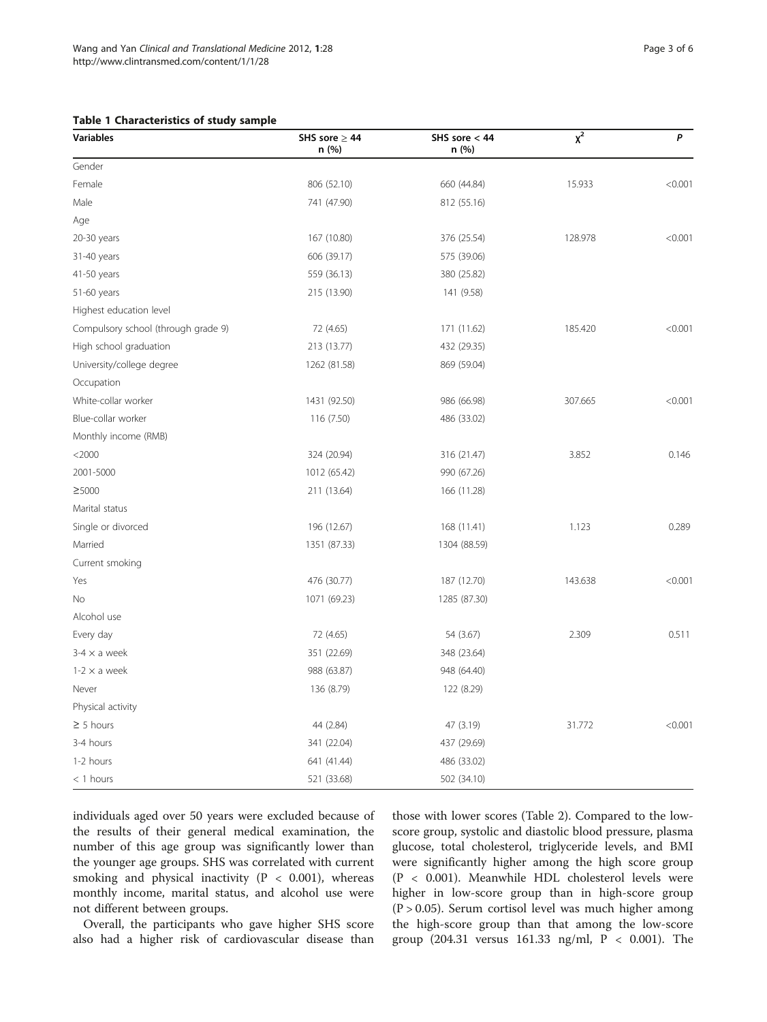## <span id="page-2-0"></span>Table 1 Characteristics of study sample

| <b>Variables</b>                    | SHS sore $\geq$ 44<br>n (%) | SHS sore $< 44$<br>n (%) | $\chi^2$ | P       |
|-------------------------------------|-----------------------------|--------------------------|----------|---------|
| Gender                              |                             |                          |          |         |
| Female                              | 806 (52.10)                 | 660 (44.84)              | 15.933   | < 0.001 |
| Male                                | 741 (47.90)                 | 812 (55.16)              |          |         |
| Age                                 |                             |                          |          |         |
| 20-30 years                         | 167 (10.80)                 | 376 (25.54)              | 128.978  | < 0.001 |
| 31-40 years                         | 606 (39.17)                 | 575 (39.06)              |          |         |
| 41-50 years                         | 559 (36.13)                 | 380 (25.82)              |          |         |
| 51-60 years                         | 215 (13.90)                 | 141 (9.58)               |          |         |
| Highest education level             |                             |                          |          |         |
| Compulsory school (through grade 9) | 72 (4.65)                   | 171 (11.62)              | 185.420  | < 0.001 |
| High school graduation              | 213 (13.77)                 | 432 (29.35)              |          |         |
| University/college degree           | 1262 (81.58)                | 869 (59.04)              |          |         |
| Occupation                          |                             |                          |          |         |
| White-collar worker                 | 1431 (92.50)                | 986 (66.98)              | 307.665  | < 0.001 |
| Blue-collar worker                  | 116 (7.50)                  | 486 (33.02)              |          |         |
| Monthly income (RMB)                |                             |                          |          |         |
| $<$ 2000                            | 324 (20.94)                 | 316 (21.47)              | 3.852    | 0.146   |
| 2001-5000                           | 1012 (65.42)                | 990 (67.26)              |          |         |
| ≥5000                               | 211 (13.64)                 | 166 (11.28)              |          |         |
| Marital status                      |                             |                          |          |         |
| Single or divorced                  | 196 (12.67)                 | 168 (11.41)              | 1.123    | 0.289   |
| Married                             | 1351 (87.33)                | 1304 (88.59)             |          |         |
| Current smoking                     |                             |                          |          |         |
| Yes                                 | 476 (30.77)                 | 187 (12.70)              | 143.638  | < 0.001 |
| No                                  | 1071 (69.23)                | 1285 (87.30)             |          |         |
| Alcohol use                         |                             |                          |          |         |
| Every day                           | 72 (4.65)                   | 54 (3.67)                | 2.309    | 0.511   |
| $3-4 \times a$ week                 | 351 (22.69)                 | 348 (23.64)              |          |         |
| $1-2 \times a$ week                 | 988 (63.87)                 | 948 (64.40)              |          |         |
| Never                               | 136 (8.79)                  | 122 (8.29)               |          |         |
| Physical activity                   |                             |                          |          |         |
| $\geq$ 5 hours                      | 44 (2.84)                   | 47 (3.19)                | 31.772   | < 0.001 |
| 3-4 hours                           | 341 (22.04)                 | 437 (29.69)              |          |         |
| 1-2 hours                           | 641 (41.44)                 | 486 (33.02)              |          |         |
| $<$ 1 hours                         | 521 (33.68)                 | 502 (34.10)              |          |         |

individuals aged over 50 years were excluded because of the results of their general medical examination, the number of this age group was significantly lower than the younger age groups. SHS was correlated with current smoking and physical inactivity ( $P < 0.001$ ), whereas monthly income, marital status, and alcohol use were not different between groups.

Overall, the participants who gave higher SHS score also had a higher risk of cardiovascular disease than

those with lower scores (Table [2](#page-3-0)). Compared to the lowscore group, systolic and diastolic blood pressure, plasma glucose, total cholesterol, triglyceride levels, and BMI were significantly higher among the high score group (P < 0.001). Meanwhile HDL cholesterol levels were higher in low-score group than in high-score group  $(P > 0.05)$ . Serum cortisol level was much higher among the high-score group than that among the low-score group (204.31 versus 161.33 ng/ml, P < 0.001). The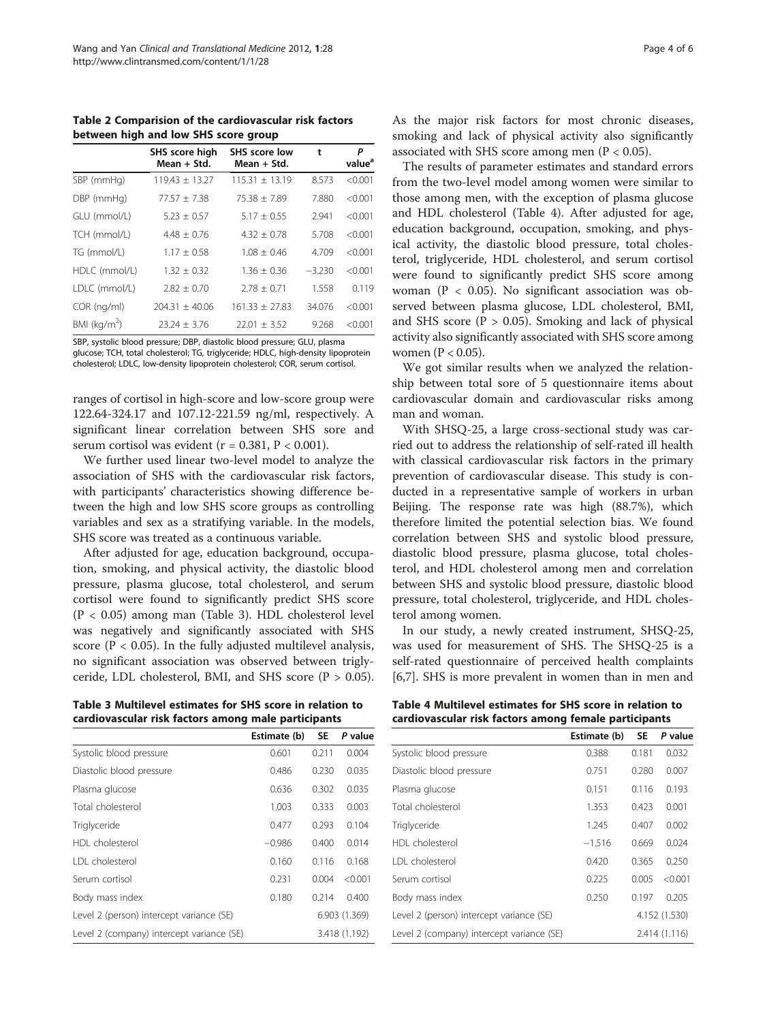<span id="page-3-0"></span>Table 2 Comparision of the cardiovascular risk factors between high and low SHS score group

|                 | SHS score high<br>Mean + Std. | <b>SHS</b> score low<br>Mean + Std. | t        | Ρ<br>value <sup>a</sup> |
|-----------------|-------------------------------|-------------------------------------|----------|-------------------------|
| SBP (mmHg)      | $119.43 \pm 13.27$            | $115.31 \pm 13.19$                  | 8.573    | < 0.001                 |
| DBP (mmHg)      | $77.57 \pm 7.38$              | $75.38 + 7.89$                      | 7.880    | < 0.001                 |
| GLU (mmol/L)    | $5.23 \pm 0.57$               | $5.17 + 0.55$                       | 2.941    | < 0.001                 |
| TCH (mmol/L)    | $4.48 \pm 0.76$               | $4.32 + 0.78$                       | 5.708    | < 0.001                 |
| TG (mmol/L)     | $1.17 \pm 0.58$               | $1.08 \pm 0.46$                     | 4.709    | < 0.001                 |
| HDLC (mmol/L)   | $1.32 \pm 0.32$               | $1.36 \pm 0.36$                     | $-3.230$ | < 0.001                 |
| LDLC (mmol/L)   | $2.82 \pm 0.70$               | $2.78 \pm 0.71$                     | 1.558    | 0.119                   |
| COR (ng/ml)     | $204.31 \pm 40.06$            | $161.33 + 27.83$                    | 34.076   | < 0.001                 |
| BMI ( $kg/m2$ ) | $23.24 \pm 3.76$              | $22.01 \pm 3.52$                    | 9.268    | < 0.001                 |

SBP, systolic blood pressure; DBP, diastolic blood pressure; GLU, plasma glucose; TCH, total cholesterol; TG, triglyceride; HDLC, high-density lipoprotein cholesterol; LDLC, low-density lipoprotein cholesterol; COR, serum cortisol.

ranges of cortisol in high-score and low-score group were 122.64-324.17 and 107.12-221.59 ng/ml, respectively. A significant linear correlation between SHS sore and serum cortisol was evident ( $r = 0.381$ ,  $P < 0.001$ ).

We further used linear two-level model to analyze the association of SHS with the cardiovascular risk factors, with participants' characteristics showing difference between the high and low SHS score groups as controlling variables and sex as a stratifying variable. In the models, SHS score was treated as a continuous variable.

After adjusted for age, education background, occupation, smoking, and physical activity, the diastolic blood pressure, plasma glucose, total cholesterol, and serum cortisol were found to significantly predict SHS score (P < 0.05) among man (Table 3). HDL cholesterol level was negatively and significantly associated with SHS score ( $P < 0.05$ ). In the fully adjusted multilevel analysis, no significant association was observed between triglyceride, LDL cholesterol, BMI, and SHS score  $(P > 0.05)$ .

Table 3 Multilevel estimates for SHS score in relation to cardiovascular risk factors among male participants

|                                           | Estimate (b)  | <b>SE</b>     | P value |
|-------------------------------------------|---------------|---------------|---------|
| Systolic blood pressure                   | 0.601         | 0.211         | 0.004   |
| Diastolic blood pressure                  | 0.486         | 0.230         | 0.035   |
| Plasma glucose                            | 0.636         | 0.302         | 0.035   |
| Total cholesterol                         | 1.003         | 0.333         | 0.003   |
| Triglyceride                              | 0.477         | 0.293         | 0.104   |
| HDI cholesterol                           | $-0.986$      | 0.400         | 0.014   |
| <b>IDI</b> cholesterol                    | 0.160         | 0.116         | 0.168   |
| Serum cortisol                            | 0.231         | 0.004         | < 0.001 |
| Body mass index                           | 0.180         | 0.214         | 0.400   |
| Level 2 (person) intercept variance (SE)  |               | 6.903 (1.369) |         |
| Level 2 (company) intercept variance (SE) | 3.418 (1.192) |               |         |

As the major risk factors for most chronic diseases, smoking and lack of physical activity also significantly associated with SHS score among men ( $P < 0.05$ ).

The results of parameter estimates and standard errors from the two-level model among women were similar to those among men, with the exception of plasma glucose and HDL cholesterol (Table 4). After adjusted for age, education background, occupation, smoking, and physical activity, the diastolic blood pressure, total cholesterol, triglyceride, HDL cholesterol, and serum cortisol were found to significantly predict SHS score among woman (P < 0.05). No significant association was observed between plasma glucose, LDL cholesterol, BMI, and SHS score ( $P > 0.05$ ). Smoking and lack of physical activity also significantly associated with SHS score among women ( $P < 0.05$ ).

We got similar results when we analyzed the relationship between total sore of 5 questionnaire items about cardiovascular domain and cardiovascular risks among man and woman.

With SHSQ-25, a large cross-sectional study was carried out to address the relationship of self-rated ill health with classical cardiovascular risk factors in the primary prevention of cardiovascular disease. This study is conducted in a representative sample of workers in urban Beijing. The response rate was high (88.7%), which therefore limited the potential selection bias. We found correlation between SHS and systolic blood pressure, diastolic blood pressure, plasma glucose, total cholesterol, and HDL cholesterol among men and correlation between SHS and systolic blood pressure, diastolic blood pressure, total cholesterol, triglyceride, and HDL cholesterol among women.

In our study, a newly created instrument, SHSQ-25, was used for measurement of SHS. The SHSQ-25 is a self-rated questionnaire of perceived health complaints [[6,7\]](#page-4-0). SHS is more prevalent in women than in men and

Table 4 Multilevel estimates for SHS score in relation to cardiovascular risk factors among female participants

|                                                            | Estimate (b)  | <b>SE</b> | P value |
|------------------------------------------------------------|---------------|-----------|---------|
| Systolic blood pressure                                    | 0.388         | 0.181     | 0.032   |
| Diastolic blood pressure                                   | 0.751         | 0.280     | 0.007   |
| Plasma glucose                                             | 0.151         | 0.116     | 0.193   |
| Total cholesterol                                          | 1.353         | 0.423     | 0.001   |
| Triglyceride                                               | 1.245         | 0.407     | 0.002   |
| HDI cholesterol                                            | $-1.516$      | 0.669     | 0.024   |
| <b>IDI</b> cholesterol                                     | 0.420         | 0.365     | 0.250   |
| Serum cortisol                                             | 0.225         | 0.005     | < 0.001 |
| Body mass index                                            | 0.250         | 0.197     | 0.205   |
| Level 2 (person) intercept variance (SE)                   | 4.152 (1.530) |           |         |
| Level 2 (company) intercept variance (SE)<br>2.414 (1.116) |               |           |         |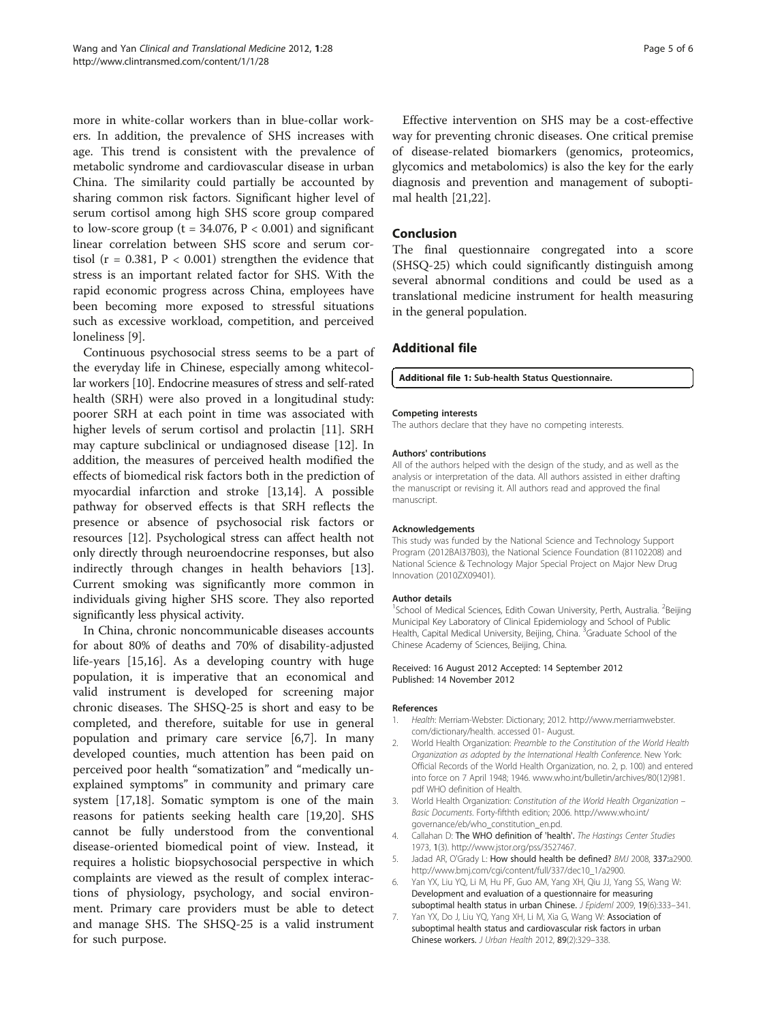<span id="page-4-0"></span>more in white-collar workers than in blue-collar workers. In addition, the prevalence of SHS increases with age. This trend is consistent with the prevalence of metabolic syndrome and cardiovascular disease in urban China. The similarity could partially be accounted by sharing common risk factors. Significant higher level of serum cortisol among high SHS score group compared to low-score group ( $t = 34.076$ ,  $P < 0.001$ ) and significant linear correlation between SHS score and serum cortisol ( $r = 0.381$ ,  $P < 0.001$ ) strengthen the evidence that stress is an important related factor for SHS. With the rapid economic progress across China, employees have been becoming more exposed to stressful situations such as excessive workload, competition, and perceived loneliness [[9](#page-5-0)].

Continuous psychosocial stress seems to be a part of the everyday life in Chinese, especially among whitecollar workers [[10](#page-5-0)]. Endocrine measures of stress and self-rated health (SRH) were also proved in a longitudinal study: poorer SRH at each point in time was associated with higher levels of serum cortisol and prolactin [[11](#page-5-0)]. SRH may capture subclinical or undiagnosed disease [[12\]](#page-5-0). In addition, the measures of perceived health modified the effects of biomedical risk factors both in the prediction of myocardial infarction and stroke [[13,14\]](#page-5-0). A possible pathway for observed effects is that SRH reflects the presence or absence of psychosocial risk factors or resources [\[12](#page-5-0)]. Psychological stress can affect health not only directly through neuroendocrine responses, but also indirectly through changes in health behaviors [\[13](#page-5-0)]. Current smoking was significantly more common in individuals giving higher SHS score. They also reported significantly less physical activity.

In China, chronic noncommunicable diseases accounts for about 80% of deaths and 70% of disability-adjusted life-years [[15,16\]](#page-5-0). As a developing country with huge population, it is imperative that an economical and valid instrument is developed for screening major chronic diseases. The SHSQ-25 is short and easy to be completed, and therefore, suitable for use in general population and primary care service [6,7]. In many developed counties, much attention has been paid on perceived poor health "somatization" and "medically unexplained symptoms" in community and primary care system [[17,18\]](#page-5-0). Somatic symptom is one of the main reasons for patients seeking health care [[19](#page-5-0),[20](#page-5-0)]. SHS cannot be fully understood from the conventional disease-oriented biomedical point of view. Instead, it requires a holistic biopsychosocial perspective in which complaints are viewed as the result of complex interactions of physiology, psychology, and social environment. Primary care providers must be able to detect and manage SHS. The SHSQ-25 is a valid instrument for such purpose.

Effective intervention on SHS may be a cost-effective way for preventing chronic diseases. One critical premise of disease-related biomarkers (genomics, proteomics, glycomics and metabolomics) is also the key for the early diagnosis and prevention and management of suboptimal health [\[21,22\]](#page-5-0).

## Conclusion

The final questionnaire congregated into a score (SHSQ-25) which could significantly distinguish among several abnormal conditions and could be used as a translational medicine instrument for health measuring in the general population.

## Additional file

#### [Additional file 1:](http://www.biomedcentral.com/content/supplementary/2001-1326-1-28-S1.docx) Sub-health Status Questionnaire.

#### Competing interests

The authors declare that they have no competing interests.

#### Authors' contributions

All of the authors helped with the design of the study, and as well as the analysis or interpretation of the data. All authors assisted in either drafting the manuscript or revising it. All authors read and approved the final manuscript.

#### Acknowledgements

This study was funded by the National Science and Technology Support Program (2012BAI37B03), the National Science Foundation (81102208) and National Science & Technology Major Special Project on Major New Drug Innovation (2010ZX09401).

#### Author details

<sup>1</sup>School of Medical Sciences, Edith Cowan University, Perth, Australia. <sup>2</sup>Beijing Municipal Key Laboratory of Clinical Epidemiology and School of Public Health, Capital Medical University, Beijing, China. <sup>3</sup>Graduate School of the Chinese Academy of Sciences, Beijing, China.

#### Received: 16 August 2012 Accepted: 14 September 2012 Published: 14 November 2012

#### References

- Health: Merriam-Webster: Dictionary; 2012. [http://www.merriamwebster.](http://www.merriamwebster.com/dictionary/health) [com/dictionary/health](http://www.merriamwebster.com/dictionary/health). accessed 01- August.
- 2. World Health Organization: Preamble to the Constitution of the World Health Organization as adopted by the International Health Conference. New York: Official Records of the World Health Organization, no. 2, p. 100) and entered into force on 7 April 1948; 1946. [www.who.int/bulletin/archives/80\(12\)981.](http://www.who.int/bulletin/archives/80(12)981.pdf) [pdf](http://www.who.int/bulletin/archives/80(12)981.pdf) WHO definition of Health.
- 3. World Health Organization: Constitution of the World Health Organization Basic Documents. Forty-fifthth edition; 2006. [http://www.who.int/](http://www.who.int/governance/eb/who_constitution_en.pd) [governance/eb/who\\_constitution\\_en.pd](http://www.who.int/governance/eb/who_constitution_en.pd).
- 4. Callahan D: The WHO definition of 'health'. The Hastings Center Studies 1973, 1(3).<http://www.jstor.org/pss/3527467>.
- 5. Jadad AR, O'Grady L: How should health be defined? BMJ 2008, 337:a2900. [http://www.bmj.com/cgi/content/full/337/dec10\\_1/a2900](http://www.bmj.com/cgi/content/full/337/dec10_1/a2900).
- 6. Yan YX, Liu YQ, Li M, Hu PF, Guo AM, Yang XH, Qiu JJ, Yang SS, Wang W: Development and evaluation of a questionnaire for measuring suboptimal health status in urban Chinese. J Epideml 2009, 19(6):333-341.
- 7. Yan YX, Do J, Liu YQ, Yang XH, Li M, Xia G, Wang W: Association of suboptimal health status and cardiovascular risk factors in urban Chinese workers. J Urban Health 2012, 89(2):329–338.